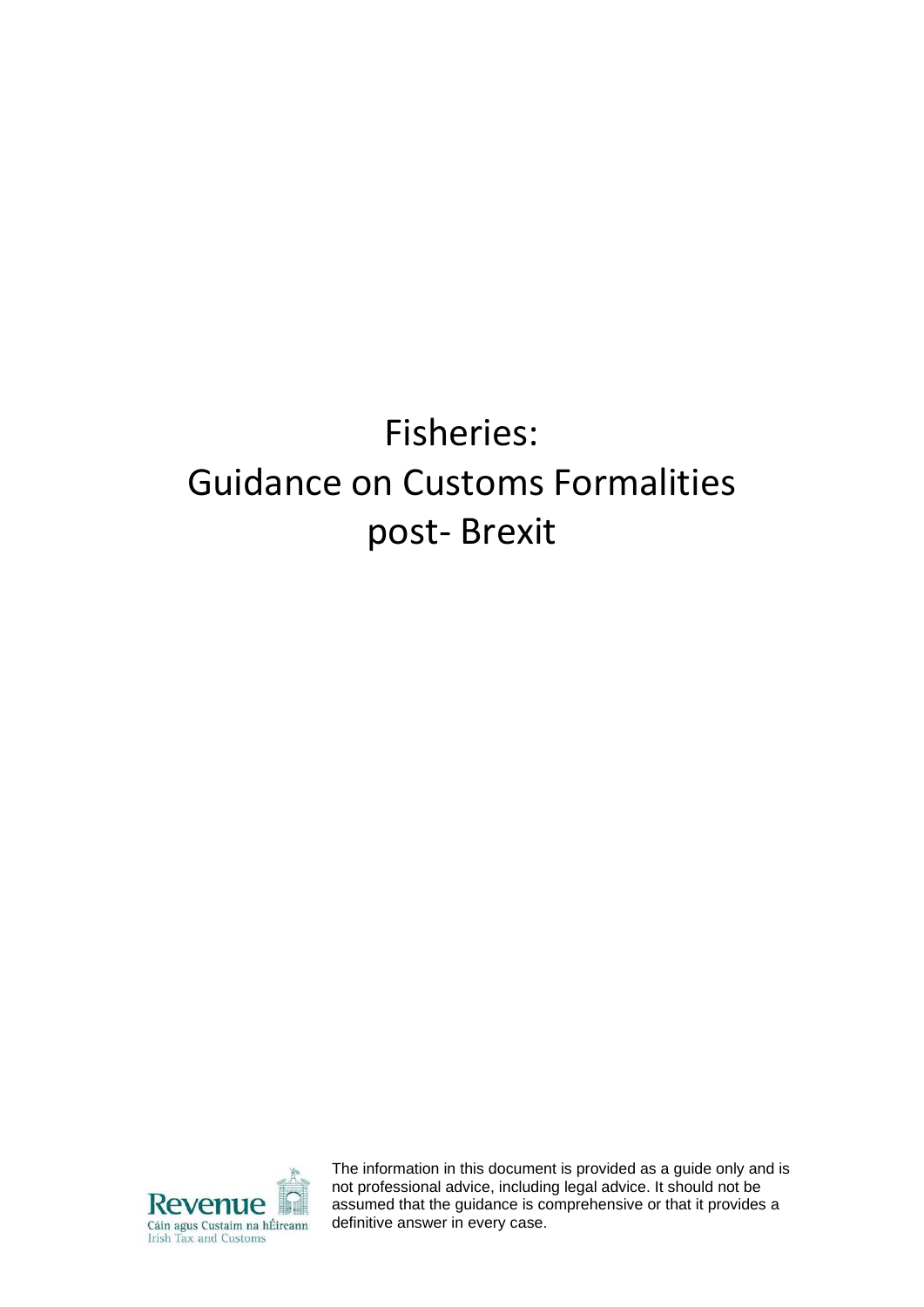# Fisheries: Guidance on Customs Formalities post- Brexit



The information in this document is provided as a guide only and is not professional advice, including legal advice. It should not be assumed that the guidance is comprehensive or that it provides a definitive answer in every case.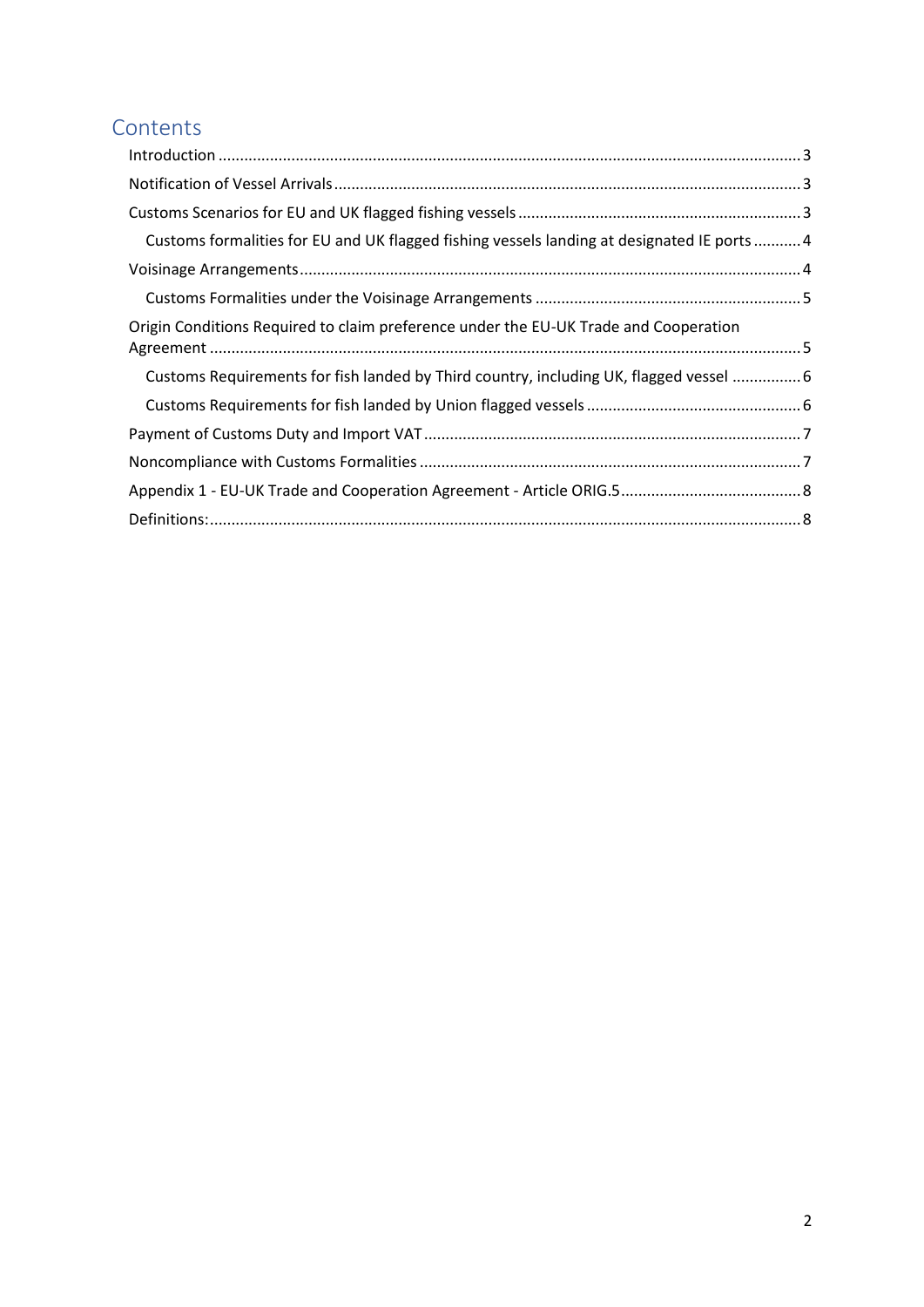### **Contents**

| Customs formalities for EU and UK flagged fishing vessels landing at designated IE ports  4 |  |
|---------------------------------------------------------------------------------------------|--|
|                                                                                             |  |
|                                                                                             |  |
| Origin Conditions Required to claim preference under the EU-UK Trade and Cooperation        |  |
| Customs Requirements for fish landed by Third country, including UK, flagged vessel  6      |  |
|                                                                                             |  |
|                                                                                             |  |
|                                                                                             |  |
|                                                                                             |  |
|                                                                                             |  |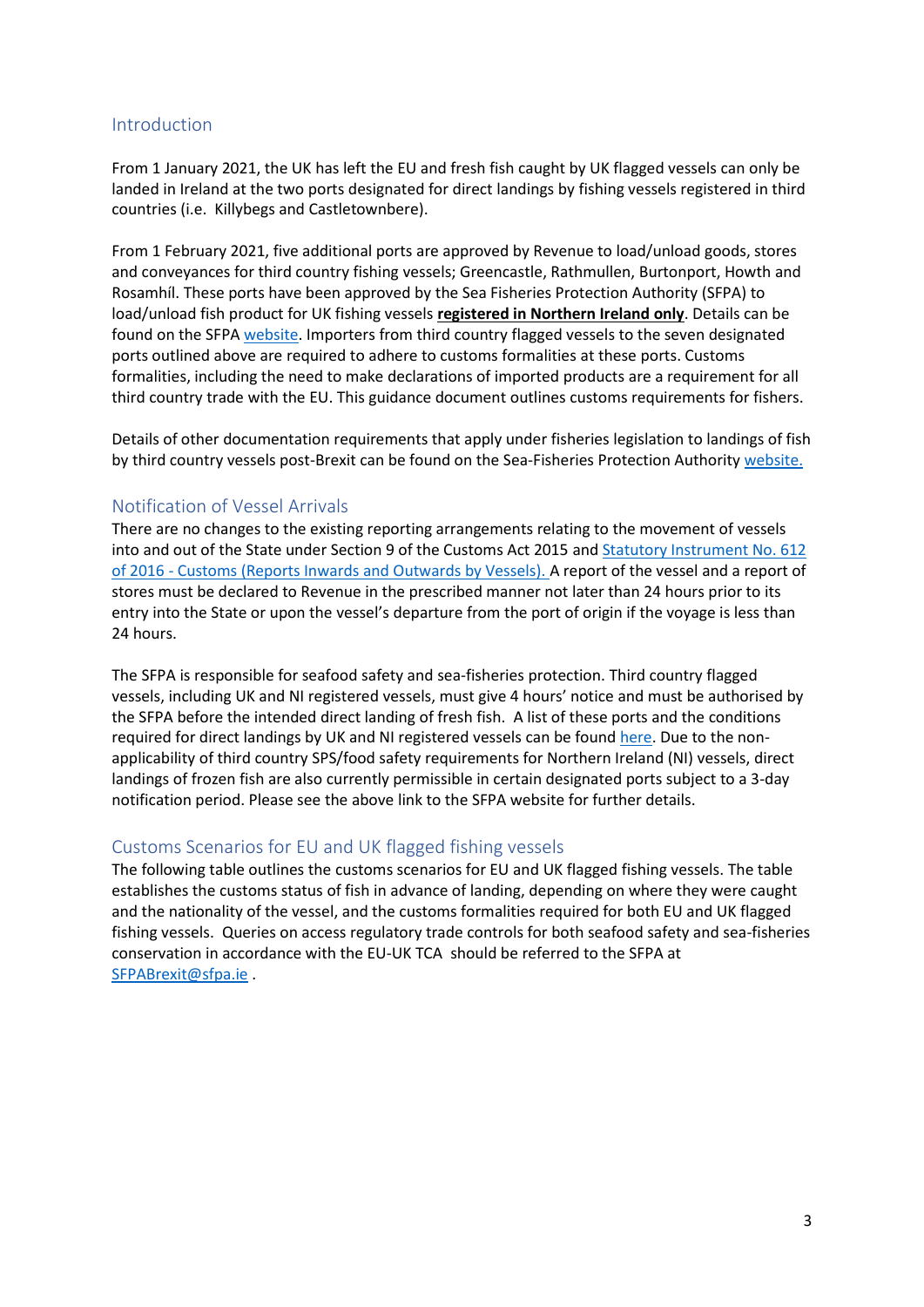#### <span id="page-2-0"></span>Introduction

From 1 January 2021, the UK has left the EU and fresh fish caught by UK flagged vessels can only be landed in Ireland at the two ports designated for direct landings by fishing vessels registered in third countries (i.e. Killybegs and Castletownbere).

From 1 February 2021, five additional ports are approved by Revenue to load/unload goods, stores and conveyances for third country fishing vessels; Greencastle, Rathmullen, Burtonport, Howth and Rosamhíl. These ports have been approved by the Sea Fisheries Protection Authority (SFPA) to load/unload fish product for UK fishing vessels **registered in Northern Ireland only**. Details can be found on the SFPA [website.](https://www.sfpa.ie/What-We-Do/Trade-Market-Access-Support/IUU-Fishing/Third-Country-Transhipment-and-Landings) Importers from third country flagged vessels to the seven designated ports outlined above are required to adhere to customs formalities at these ports. Customs formalities, including the need to make declarations of imported products are a requirement for all third country trade with the EU. This guidance document outlines customs requirements for fishers.

Details of other documentation requirements that apply under fisheries legislation to landings of fish by third country vessels post-Brexit can be found on the Sea-Fisheries Protection Authority [website.](https://www.sfpa.ie/What-We-Do/Trade-Market-Access-Support/Brexit-Information)

#### <span id="page-2-1"></span>Notification of Vessel Arrivals

There are no changes to the existing reporting arrangements relating to the movement of vessels into and out of the State under Section 9 of the Customs Act 2015 and [Statutory Instrument No. 612](http://www.irishstatutebook.ie/eli/2016/si/612/made/en/)  of 2016 - [Customs \(Reports Inwards and Outwards by Vessels\). A](http://www.irishstatutebook.ie/eli/2016/si/612/made/en/) report of the vessel and a report of stores must be declared to Revenue in the prescribed manner not later than 24 hours prior to its entry into the State or upon the vessel's departure from the port of origin if the voyage is less than 24 hours.

The SFPA is responsible for seafood safety and sea-fisheries protection. Third country flagged vessels, including UK and NI registered vessels, must give 4 hours' notice and must be authorised by the SFPA before the intended direct landing of fresh fish. A list of these ports and the conditions required for direct landings by UK and NI registered vessels can be foun[d here.](https://www.sfpa.ie/What-We-Do/Trade-Market-Access-Support/IUU-Fishing/Third-Country-Transhipment-and-Landings) Due to the nonapplicability of third country SPS/food safety requirements for Northern Ireland (NI) vessels, direct landings of frozen fish are also currently permissible in certain designated ports subject to a 3-day notification period. Please see the above link to the SFPA website for further details.

#### <span id="page-2-2"></span>Customs Scenarios for EU and UK flagged fishing vessels

The following table outlines the customs scenarios for EU and UK flagged fishing vessels. The table establishes the customs status of fish in advance of landing, depending on where they were caught and the nationality of the vessel, and the customs formalities required for both EU and UK flagged fishing vessels. Queries on access regulatory trade controls for both seafood safety and sea-fisheries conservation in accordance with the EU-UK TCA should be referred to the SFPA at [SFPABrexit@sfpa.ie](mailto:SFPABrexit@sfpa.ie) .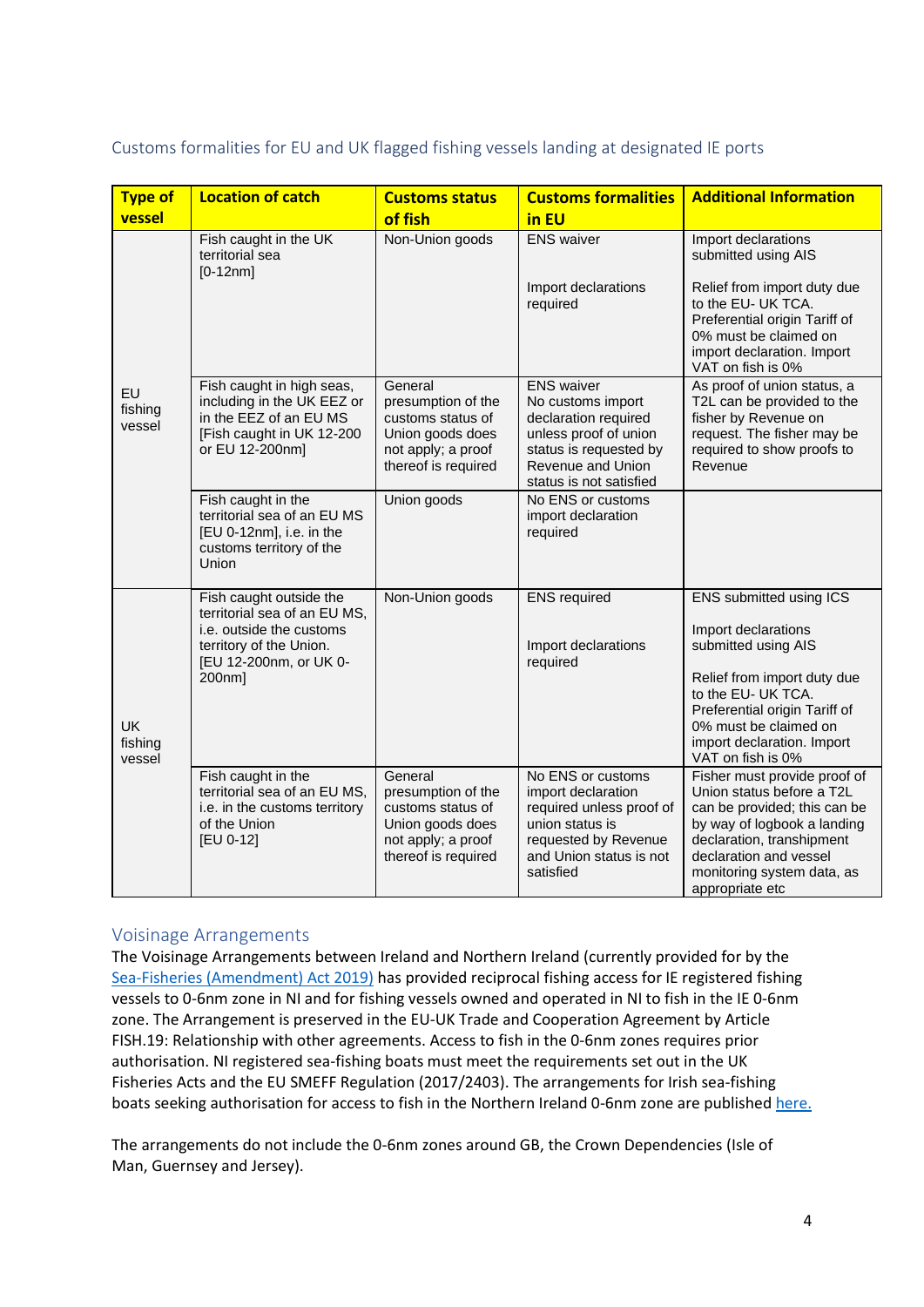<span id="page-3-0"></span>

|  |  |  | Customs formalities for EU and UK flagged fishing vessels landing at designated IE ports |  |
|--|--|--|------------------------------------------------------------------------------------------|--|
|--|--|--|------------------------------------------------------------------------------------------|--|

| Type of                 | <b>Location of catch</b>                                                                                           | <b>Customs status</b>                     | <b>Customs formalities</b>                          | <b>Additional Information</b>                                                                                                                                  |
|-------------------------|--------------------------------------------------------------------------------------------------------------------|-------------------------------------------|-----------------------------------------------------|----------------------------------------------------------------------------------------------------------------------------------------------------------------|
| vessel                  |                                                                                                                    | of fish                                   | in EU                                               |                                                                                                                                                                |
| EU                      | Fish caught in the UK<br>territorial sea<br>$[0-12nm]$                                                             | Non-Union goods                           | <b>ENS</b> waiver                                   | Import declarations<br>submitted using AIS                                                                                                                     |
|                         |                                                                                                                    |                                           | Import declarations<br>required                     | Relief from import duty due<br>to the EU- UK TCA.<br>Preferential origin Tariff of<br>0% must be claimed on<br>import declaration. Import<br>VAT on fish is 0% |
|                         | Fish caught in high seas,                                                                                          | General                                   | <b>ENS</b> waiver                                   | As proof of union status, a                                                                                                                                    |
| fishing                 | including in the UK EEZ or<br>in the EEZ of an EU MS                                                               | presumption of the<br>customs status of   | No customs import<br>declaration required           | T2L can be provided to the<br>fisher by Revenue on                                                                                                             |
| vessel                  | [Fish caught in UK 12-200                                                                                          | Union goods does                          | unless proof of union                               | request. The fisher may be                                                                                                                                     |
|                         | or EU 12-200nm]                                                                                                    | not apply; a proof<br>thereof is required | status is requested by<br>Revenue and Union         | required to show proofs to<br>Revenue                                                                                                                          |
|                         |                                                                                                                    |                                           | status is not satisfied                             |                                                                                                                                                                |
|                         | Fish caught in the<br>territorial sea of an EU MS<br>[EU 0-12nm], i.e. in the<br>customs territory of the<br>Union | Union goods                               | No ENS or customs<br>import declaration<br>required |                                                                                                                                                                |
|                         | Fish caught outside the                                                                                            | Non-Union goods                           | <b>ENS</b> required                                 | ENS submitted using ICS                                                                                                                                        |
|                         | territorial sea of an EU MS,<br>i.e. outside the customs                                                           |                                           |                                                     | Import declarations                                                                                                                                            |
|                         | territory of the Union.<br>[EU 12-200nm, or UK 0-                                                                  |                                           | Import declarations<br>required                     | submitted using AIS                                                                                                                                            |
|                         | 200nm]                                                                                                             |                                           |                                                     | Relief from import duty due                                                                                                                                    |
| UK<br>fishing<br>vessel |                                                                                                                    |                                           |                                                     | to the EU- UK TCA.                                                                                                                                             |
|                         |                                                                                                                    |                                           |                                                     | Preferential origin Tariff of<br>0% must be claimed on                                                                                                         |
|                         |                                                                                                                    |                                           |                                                     | import declaration. Import<br>VAT on fish is 0%                                                                                                                |
|                         | Fish caught in the                                                                                                 | General                                   | No ENS or customs                                   | Fisher must provide proof of                                                                                                                                   |
|                         | territorial sea of an EU MS,<br>i.e. in the customs territory                                                      | presumption of the<br>customs status of   | import declaration<br>required unless proof of      | Union status before a T2L<br>can be provided; this can be                                                                                                      |
|                         | of the Union                                                                                                       | Union goods does                          | union status is                                     | by way of logbook a landing                                                                                                                                    |
|                         | [EU 0-12]                                                                                                          | not apply; a proof                        | requested by Revenue                                | declaration, transhipment<br>declaration and vessel                                                                                                            |
|                         |                                                                                                                    | thereof is required                       | and Union status is not<br>satisfied                | monitoring system data, as                                                                                                                                     |
|                         |                                                                                                                    |                                           |                                                     | appropriate etc                                                                                                                                                |

#### <span id="page-3-1"></span>Voisinage Arrangements

The Voisinage Arrangements between Ireland and Northern Ireland (currently provided for by the [Sea-Fisheries \(Amendment\) Act 2019\)](http://www.irishstatutebook.ie/eli/2019/act/9/enacted/en/html) has provided reciprocal fishing access for IE registered fishing vessels to 0-6nm zone in NI and for fishing vessels owned and operated in NI to fish in the IE 0-6nm zone. The Arrangement is preserved in the EU-UK Trade and Cooperation Agreement by Article FISH.19: Relationship with other agreements. Access to fish in the 0-6nm zones requires prior authorisation. NI registered sea-fishing boats must meet the requirements set out in the UK Fisheries Acts and the EU SMEFF Regulation (2017/2403). The arrangements for Irish sea-fishing boats seeking authorisation for access to fish in the Northern Ireland 0-6nm zone are publishe[d here.](https://www.gov.ie/en/publication/99c1c-access-to-uk-waters/)

The arrangements do not include the 0-6nm zones around GB, the Crown Dependencies (Isle of Man, Guernsey and Jersey).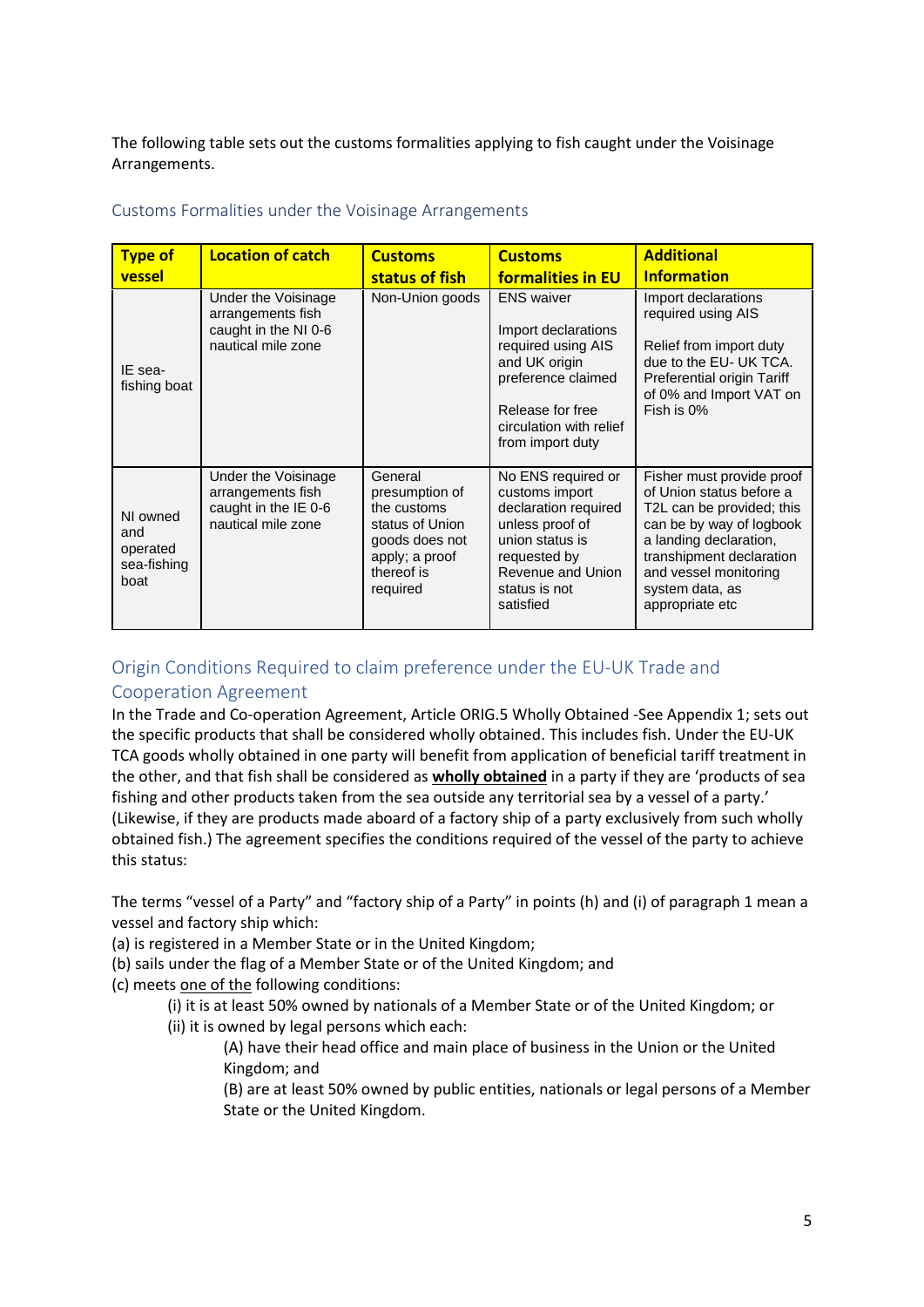The following table sets out the customs formalities applying to fish caught under the Voisinage Arrangements.

| <b>Type of</b><br>vessel                           | <b>Location of catch</b>                                                               | <b>Customs</b><br>status of fish                                                                                          | <b>Customs</b><br>formalities in EU                                                                                                                                      | <b>Additional</b><br><b>Information</b>                                                                                                                                                                                             |
|----------------------------------------------------|----------------------------------------------------------------------------------------|---------------------------------------------------------------------------------------------------------------------------|--------------------------------------------------------------------------------------------------------------------------------------------------------------------------|-------------------------------------------------------------------------------------------------------------------------------------------------------------------------------------------------------------------------------------|
| IE sea-<br>fishing boat                            | Under the Voisinage<br>arrangements fish<br>caught in the NI 0-6<br>nautical mile zone | Non-Union goods                                                                                                           | <b>ENS</b> waiver<br>Import declarations<br>required using AIS<br>and UK origin<br>preference claimed<br>Release for free<br>circulation with relief<br>from import duty | Import declarations<br>required using AIS<br>Relief from import duty<br>due to the EU- UK TCA.<br>Preferential origin Tariff<br>of 0% and Import VAT on<br>Fish is 0%                                                               |
| NI owned<br>and<br>operated<br>sea-fishing<br>boat | Under the Voisinage<br>arrangements fish<br>caught in the IE 0-6<br>nautical mile zone | General<br>presumption of<br>the customs<br>status of Union<br>goods does not<br>apply; a proof<br>thereof is<br>required | No ENS required or<br>customs import<br>declaration required<br>unless proof of<br>union status is<br>requested by<br>Revenue and Union<br>status is not<br>satisfied    | Fisher must provide proof<br>of Union status before a<br>T2L can be provided; this<br>can be by way of logbook<br>a landing declaration,<br>transhipment declaration<br>and vessel monitoring<br>system data, as<br>appropriate etc |

#### <span id="page-4-0"></span>Customs Formalities under the Voisinage Arrangements

## <span id="page-4-1"></span>Origin Conditions Required to claim preference under the EU-UK Trade and

#### Cooperation Agreement

In the Trade and Co-operation Agreement, Article ORIG.5 Wholly Obtained -See Appendix 1; sets out the specific products that shall be considered wholly obtained. This includes fish. Under the EU-UK TCA goods wholly obtained in one party will benefit from application of beneficial tariff treatment in the other, and that fish shall be considered as **wholly obtained** in a party if they are 'products of sea fishing and other products taken from the sea outside any territorial sea by a vessel of a party.' (Likewise, if they are products made aboard of a factory ship of a party exclusively from such wholly obtained fish.) The agreement specifies the conditions required of the vessel of the party to achieve this status:

The terms "vessel of a Party" and "factory ship of a Party" in points (h) and (i) of paragraph 1 mean a vessel and factory ship which:

- (a) is registered in a Member State or in the United Kingdom;
- (b) sails under the flag of a Member State or of the United Kingdom; and
- (c) meets one of the following conditions:
	- (i) it is at least 50% owned by nationals of a Member State or of the United Kingdom; or
	- (ii) it is owned by legal persons which each:
		- (A) have their head office and main place of business in the Union or the United Kingdom; and
		- (B) are at least 50% owned by public entities, nationals or legal persons of a Member State or the United Kingdom.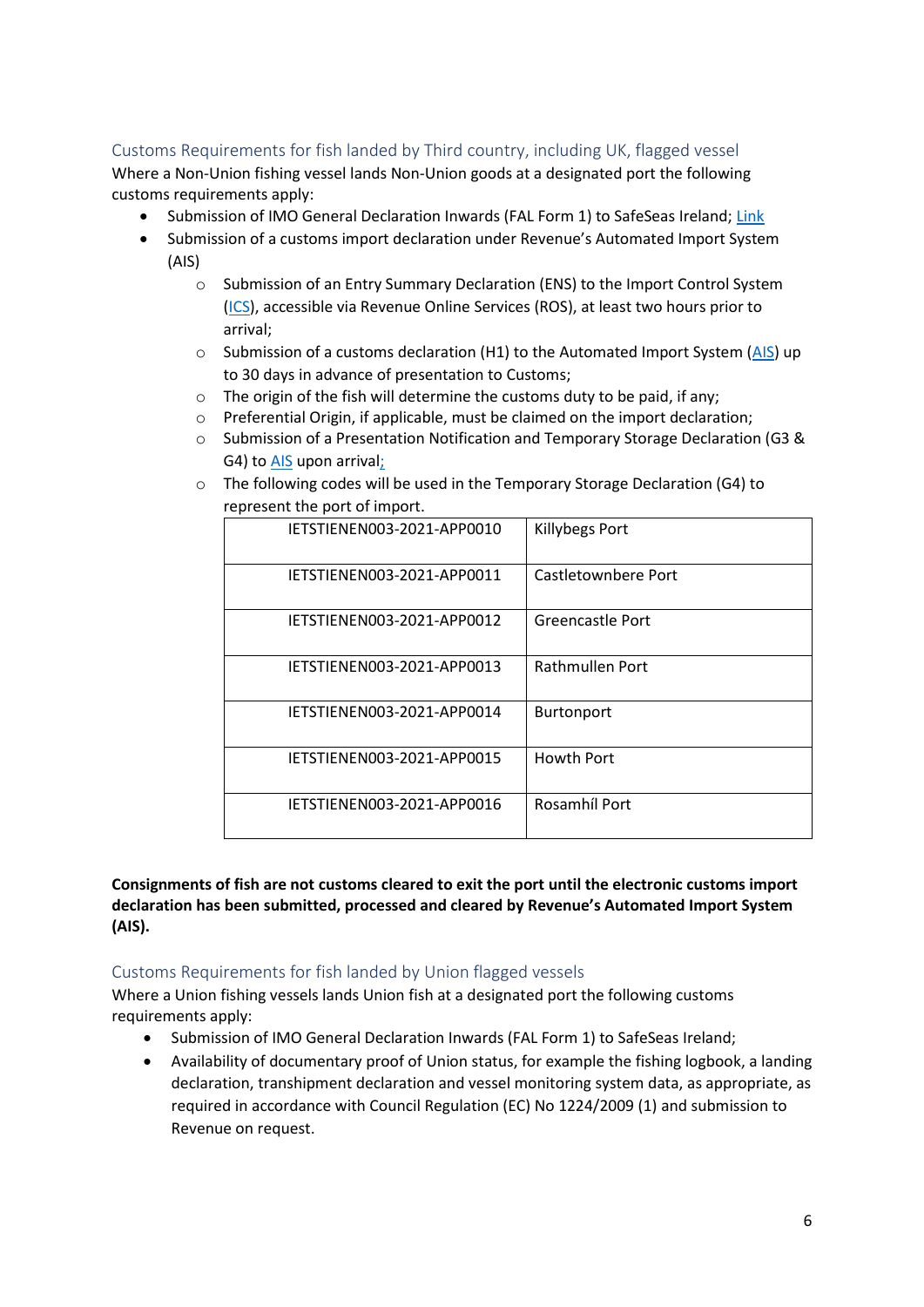#### <span id="page-5-0"></span>Customs Requirements for fish landed by Third country, including UK, flagged vessel

Where a Non-Union fishing vessel lands Non-Union goods at a designated port the following customs requirements apply:

- Submission of IMO General Declaration Inwards (FAL Form 1) to SafeSeas Ireland: [Link](https://www.imo.org/en/OurWork/Facilitation/Pages/FormsCartificates-default.aspx)
- Submission of a customs import declaration under Revenue's Automated Import System (AIS)
	- o Submission of an Entry Summary Declaration (ENS) to the Import Control System [\(ICS\)](https://www.revenue.ie/en/customs-traders-and-agents/customs-electronic-systems/import-control-system.aspx), accessible via Revenue Online Services (ROS), at least two hours prior to arrival;
	- $\circ$  Submission of a customs declaration (H1) to the Automated Import System [\(AIS\)](https://www.revenue.ie/en/customs-traders-and-agents/customs-electronic-systems/ais/what-is-ais/index.aspx) up to 30 days in advance of presentation to Customs;
	- o The origin of the fish will determine the customs duty to be paid, if any;
	- o Preferential Origin, if applicable, must be claimed on the import declaration;
	- o Submission of a Presentation Notification and Temporary Storage Declaration (G3 & G4) to [AIS](https://www.revenue.ie/en/customs-traders-and-agents/customs-electronic-systems/ais/what-is-ais/index.aspx) upon arrival;
	- o The following codes will be used in the Temporary Storage Declaration (G4) to represent the port of import.

| IETSTIENEN003-2021-APP0010 | <b>Killybegs Port</b> |
|----------------------------|-----------------------|
| IETSTIENEN003-2021-APP0011 | Castletownbere Port   |
| IETSTIENEN003-2021-APP0012 | Greencastle Port      |
| IETSTIENEN003-2021-APP0013 | Rathmullen Port       |
| IETSTIENEN003-2021-APP0014 | Burtonport            |
| IETSTIENEN003-2021-APP0015 | <b>Howth Port</b>     |
| IETSTIENEN003-2021-APP0016 | Rosamhíl Port         |
|                            |                       |

**Consignments of fish are not customs cleared to exit the port until the electronic customs import declaration has been submitted, processed and cleared by Revenue's Automated Import System (AIS).**

#### <span id="page-5-1"></span>Customs Requirements for fish landed by Union flagged vessels

Where a Union fishing vessels lands Union fish at a designated port the following customs requirements apply:

- Submission of IMO General Declaration Inwards (FAL Form 1) to SafeSeas Ireland;
- Availability of documentary proof of Union status, for example the fishing logbook, a landing declaration, transhipment declaration and vessel monitoring system data, as appropriate, as required in accordance with Council Regulation (EC) No 1224/2009 (1) and submission to Revenue on request.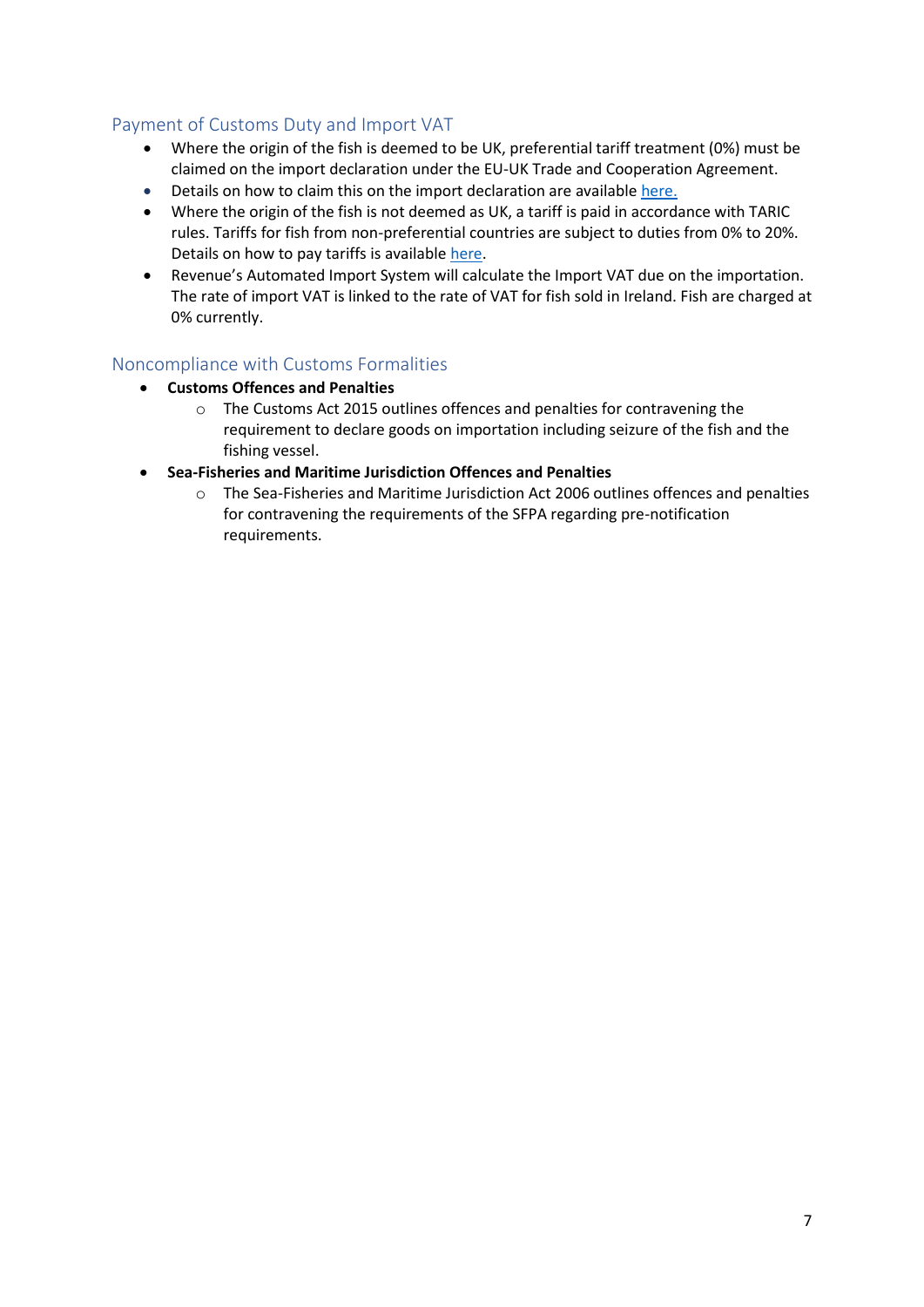#### <span id="page-6-0"></span>Payment of Customs Duty and Import VAT

- Where the origin of the fish is deemed to be UK, preferential tariff treatment (0%) must be claimed on the import declaration under the EU-UK Trade and Cooperation Agreement.
- Details on how to claim this on the import declaration are available [here.](https://www.revenue.ie/en/customs-traders-and-agents/customs-electronic-systems/aep/ecustoms-notifications/2021/ecustoms-notification-04-2021.pdf)
- Where the origin of the fish is not deemed as UK, a tariff is paid in accordance with TARIC rules. Tariffs for fish from non-preferential countries are subject to duties from 0% to 20%. Details on how to pay tariffs is available [here.](https://www.revenue.ie/en/tax-professionals/tdm/customs/aep/import-payment-methods.pdf)
- Revenue's Automated Import System will calculate the Import VAT due on the importation. The rate of import VAT is linked to the rate of VAT for fish sold in Ireland. Fish are charged at 0% currently.

#### <span id="page-6-1"></span>Noncompliance with Customs Formalities

- **Customs Offences and Penalties**
	- o The Customs Act 2015 outlines offences and penalties for contravening the requirement to declare goods on importation including seizure of the fish and the fishing vessel.
- <span id="page-6-2"></span>• **Sea-Fisheries and Maritime Jurisdiction Offences and Penalties**
	- o The Sea-Fisheries and Maritime Jurisdiction Act 2006 outlines offences and penalties for contravening the requirements of the SFPA regarding pre-notification requirements.